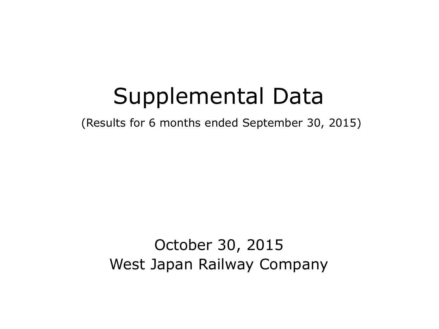# Supplemental Data

(Results for 6 months ended September 30, 2015)

# October 30, 2015 West Japan Railway Company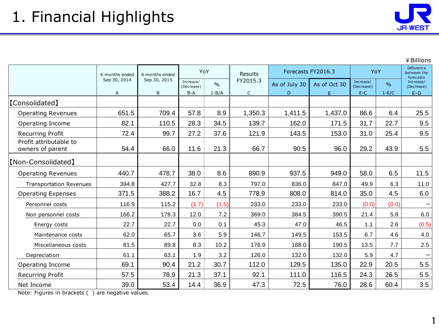1

|                                            | 6 months ended | YoY<br>6 months ended |                         | Results       | Forecasts FY2016.3 |               | YoY          |                         | <b>Difference</b><br>between the<br>forecasts |                         |
|--------------------------------------------|----------------|-----------------------|-------------------------|---------------|--------------------|---------------|--------------|-------------------------|-----------------------------------------------|-------------------------|
|                                            | Sep 30, 2014   | Sep 30, 2015          | Increase/<br>(Decrease) | $\frac{0}{0}$ | FY2015.3           | As of July 30 | As of Oct 30 | Increase/<br>(Decrease) | $\frac{0}{0}$                                 | Increase/<br>(Decrease) |
|                                            | A              | B                     | $B-A$                   | $1 - B/A$     | $\mathsf{C}$       | D             | F            | $E-C$                   | $1-E/C$                                       | $E-D$                   |
| [Consolidated]                             |                |                       |                         |               |                    |               |              |                         |                                               |                         |
| <b>Operating Revenues</b>                  | 651.5          | 709.4                 | 57.8                    | 8.9           | 1,350.3            | 1,411.5       | 1,437.0      | 86.6                    | 6.4                                           | 25.5                    |
| Operating Income                           | 82.1           | 110.5                 | 28.3                    | 34.5          | 139.7              | 162.0         | 171.5        | 31.7                    | 22.7                                          | 9.5                     |
| <b>Recurring Profit</b>                    | 72.4           | 99.7                  | 27.2                    | 37.6          | 121.9              | 143.5         | 153.0        | 31.0                    | 25.4                                          | 9.5                     |
| Profit attributable to<br>owners of parent | 54.4           | 66.0                  | 11.6                    | 21.3          | 66.7               | 90.5          | 96.0         | 29.2                    | 43.9                                          | 5.5                     |
| [Non-Consolidated]                         |                |                       |                         |               |                    |               |              |                         |                                               |                         |
| <b>Operating Revenues</b>                  | 440.7          | 478.7                 | 38.0                    | 8.6           | 890.9              | 937.5         | 949.0        | 58.0                    | 6.5                                           | 11.5                    |
| <b>Transportation Revenues</b>             | 394.8          | 427.7                 | 32.8                    | 8.3           | 797.0              | 836.0         | 847.0        | 49.9                    | 6.3                                           | 11.0                    |
| <b>Operating Expenses</b>                  | 371.5          | 388.2                 | 16.7                    | 4.5           | 778.9              | 808.0         | 814.0        | 35.0                    | 4.5                                           | 6.0                     |
| Personnel costs                            | 116.9          | 115.2                 | (1.7)                   | (1.5)         | 233.0              | 233.0         | 233.0        | (0.0)                   | (0.0)                                         |                         |
| Non personnel costs                        | 166.2          | 178.3                 | 12.0                    | 7.2           | 369.0              | 384.5         | 390.5        | 21.4                    | 5.8                                           | $6.0\,$                 |
| Energy costs                               | 22.7           | 22.7                  | 0.0                     | 0.1           | 45.3               | 47.0          | 46.5         | 1.1                     | 2.6                                           | (0.5)                   |
| Maintenance costs                          | 62.0           | 65.7                  | 3.6                     | 5.9           | 146.7              | 149.5         | 153.5        | 6.7                     | 4.6                                           | 4.0                     |
| Miscellaneous costs                        | 81.5           | 89.8                  | 8.3                     | 10.2          | 176.9              | 188.0         | 190.5        | 13.5                    | 7.7                                           | 2.5                     |
| Depreciation                               | 61.1           | 63.1                  | 1.9                     | 3.2           | 126.0              | 132.0         | 132.0        | 5.9                     | 4.7                                           |                         |
| Operating Income                           | 69.1           | 90.4                  | 21.2                    | 30.7          | 112.0              | 129.5         | 135.0        | 22.9                    | 20.5                                          | 5.5                     |
| <b>Recurring Profit</b>                    | 57.5           | 78.9                  | 21.3                    | 37.1          | 92.1               | 111.0         | 116.5        | 24.3                    | 26.5                                          | 5.5                     |
| Net Income                                 | 39.0           | 53.4                  | 14.4                    | 36.9          | 47.3               | 72.5          | 76.0         | 28.6                    | 60.4                                          | 3.5                     |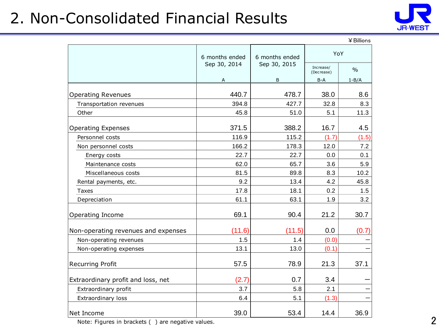## 2. Non-Consolidated Financial Results



|                                     |                |                |                         | ¥ Billions    |
|-------------------------------------|----------------|----------------|-------------------------|---------------|
|                                     | 6 months ended | 6 months ended | YoY                     |               |
|                                     | Sep 30, 2014   | Sep 30, 2015   | Increase/<br>(Decrease) | $\frac{0}{0}$ |
|                                     | A              | B              | B-A                     | $1 - B/A$     |
| <b>Operating Revenues</b>           | 440.7          | 478.7          | 38.0                    | 8.6           |
| Transportation revenues             | 394.8          | 427.7          | 32.8                    | 8.3           |
| Other                               | 45.8           | 51.0           | 5.1                     | 11.3          |
| <b>Operating Expenses</b>           | 371.5          | 388.2          | 16.7                    | 4.5           |
| Personnel costs                     | 116.9          | 115.2          | (1.7)                   | (1.5)         |
| Non personnel costs                 | 166.2          | 178.3          | 12.0                    | 7.2           |
| Energy costs                        | 22.7           | 22.7           | 0.0                     | 0.1           |
| Maintenance costs                   | 62.0           | 65.7           | 3.6                     | 5.9           |
| Miscellaneous costs                 | 81.5           | 89.8           | 8.3                     | 10.2          |
| Rental payments, etc.               | 9.2            | 13.4           | 4.2                     | 45.8          |
| <b>Taxes</b>                        | 17.8           | 18.1           | 0.2                     | 1.5           |
| Depreciation                        | 61.1           | 63.1           | 1.9                     | 3.2           |
| Operating Income                    | 69.1           | 90.4           | 21.2                    | 30.7          |
| Non-operating revenues and expenses | (11.6)         | (11.5)         | 0.0                     | (0.7)         |
| Non-operating revenues              | 1.5            | 1.4            | (0.0)                   |               |
| Non-operating expenses              | 13.1           | 13.0           | (0.1)                   |               |
| <b>Recurring Profit</b>             | 57.5           | 78.9           | 21.3                    | 37.1          |
| Extraordinary profit and loss, net  | (2.7)          | 0.7            | 3.4                     |               |
| Extraordinary profit                | 3.7            | 5.8            | 2.1                     |               |
| Extraordinary loss                  | 6.4            | 5.1            | (1.3)                   |               |
| Net Income                          | 39.0           | 53.4           | 14.4                    | 36.9          |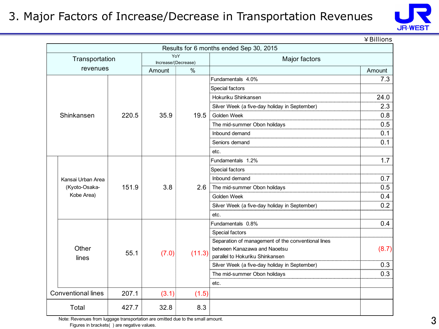#### 3. Major Factors of Increase/Decrease in Transportation Revenues



¥Billions

|  |                           |       |                            |        | Results for 6 months ended Sep 30, 2015            |         |  |
|--|---------------------------|-------|----------------------------|--------|----------------------------------------------------|---------|--|
|  | Transportation            |       | YoY<br>Increase/(Decrease) |        | Major factors                                      |         |  |
|  | revenues                  |       | $\%$<br>Amount             |        | Amount                                             |         |  |
|  |                           |       |                            |        | Fundamentals 4.0%                                  | 7.3     |  |
|  |                           |       |                            |        | Special factors                                    |         |  |
|  |                           |       |                            |        | Hokuriku Shinkansen                                | 24.0    |  |
|  |                           |       |                            |        | Silver Week (a five-day holiday in September)      | 2.3     |  |
|  | Shinkansen                | 220.5 | 35.9                       | 19.5   | Golden Week                                        | <br>0.8 |  |
|  |                           |       |                            |        | The mid-summer Obon holidays                       | 0.5     |  |
|  |                           |       |                            |        | Inbound demand                                     | 0.1     |  |
|  |                           |       |                            |        | Seniors demand                                     | 0.1     |  |
|  |                           |       |                            |        | etc.                                               |         |  |
|  | Kansai Urban Area         |       | 3.8                        | 2.6    | Fundamentals 1.2%                                  | 1.7     |  |
|  |                           | 151.9 |                            |        | Special factors                                    |         |  |
|  |                           |       |                            |        | Inbound demand                                     | 0.7     |  |
|  | (Kyoto-Osaka-             |       |                            |        | The mid-summer Obon holidays                       | 0.5     |  |
|  | Kobe Area)                |       |                            |        | Golden Week                                        | 0.4     |  |
|  |                           |       |                            |        | Silver Week (a five-day holiday in September)      | 0.2     |  |
|  |                           |       |                            |        | etc.                                               |         |  |
|  |                           |       |                            |        | Fundamentals 0.8%                                  | 0.4     |  |
|  |                           |       |                            |        | Special factors                                    |         |  |
|  |                           |       |                            |        | Separation of management of the conventional lines |         |  |
|  | Other                     | 55.1  | (7.0)                      | (11.3) | between Kanazawa and Naoetsu                       | (8.7)   |  |
|  | lines                     |       |                            |        | parallel to Hokuriku Shinkansen                    |         |  |
|  |                           |       |                            |        | Silver Week (a five-day holiday in September)      | 0.3     |  |
|  |                           |       |                            |        | The mid-summer Obon holidays                       | 0.3     |  |
|  |                           |       |                            |        | etc.                                               |         |  |
|  | <b>Conventional lines</b> | 207.1 | (3.1)                      | (1.5)  |                                                    |         |  |
|  | Total                     | 427.7 | 32.8                       | 8.3    |                                                    |         |  |

Note: Revenues from luggage transportation are omitted due to the small amount. Figures in brackets( ) are negative values.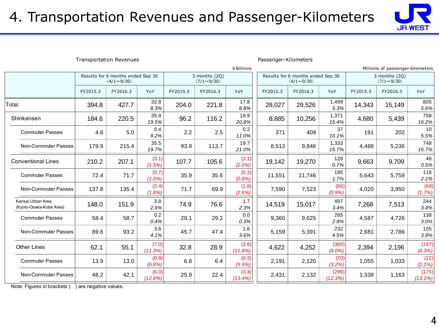

|                                                | <b>Transportation Revenues</b><br>Passenger-Kilometers |                                                        |                  |          |                                    |                    |          |                                                        |                    |          |                                    |                     |  |
|------------------------------------------------|--------------------------------------------------------|--------------------------------------------------------|------------------|----------|------------------------------------|--------------------|----------|--------------------------------------------------------|--------------------|----------|------------------------------------|---------------------|--|
| ¥ Billions<br>Millions of passenger-kilometers |                                                        |                                                        |                  |          |                                    |                    |          |                                                        |                    |          |                                    |                     |  |
|                                                |                                                        | Results for 6 months ended Sep 30<br>$(4/1 \sim 9/30)$ |                  |          | 3 months (2Q)<br>$(7/1 \sim 9/30)$ |                    |          | Results for 6 months ended Sep 30<br>$(4/1 \sim 9/30)$ |                    |          | 3 months (2Q)<br>$(7/1 \sim 9/30)$ |                     |  |
|                                                | FY2015.3                                               | FY2016.3                                               | YoY              | FY2015.3 | FY2016.3                           | YoY                | FY2015.3 | FY2016.3                                               | YoY                | FY2015.3 | FY2016.3                           | YoY                 |  |
| Total                                          | 394.8                                                  | 427.7                                                  | 32.8<br>8.3%     | 204.0    | 221.8                              | 17.8<br>8.8%       | 28,027   | 29,526                                                 | 1,499<br>5.3%      | 14,343   | 15,149                             | 805<br>5.6%         |  |
| Shinkansen                                     | 184.6                                                  | 220.5                                                  | 35.9<br>19.5%    | 96.2     | 116.2                              | 19.9<br>20.8%      | 8,885    | 10,256                                                 | 1,371<br>15.4%     | 4,680    | 5,439                              | 758<br>16.2%        |  |
| <b>Commuter Passes</b>                         | 4.6                                                    | 5.0                                                    | 0.4<br>9.2%      | 2.2      | 2.5                                | 0.2<br>11.0%       | 371      | 409                                                    | 37<br>10.1%        | 191      | 202                                | 10<br>5.5%          |  |
| Non-Commuter Passes                            | 179.9                                                  | 215.4                                                  | 35.5<br>19.7%    | 93.9     | 113.7                              | 19.7<br>21.0%      | 8,513    | 9,846                                                  | 1,333<br>15.7%     | 4,488    | 5,236                              | 748<br>16.7%        |  |
| <b>Conventional Lines</b>                      | 210.2                                                  | 207.1                                                  | (3.1)<br>(1.5%   | 107.7    | 105.6                              | (2.1)<br>$(2.0\%)$ | 19,142   | 19,270                                                 | 128<br>0.7%        | 9,663    | 9,709                              | 46<br>0.5%          |  |
| <b>Commuter Passes</b>                         | 72.4                                                   | 71.7                                                   | (0.7)<br>(1.0%   | 35.9     | 35.6                               | (0.3)<br>(0.8%)    | 11,551   | 11,746                                                 | 195<br>1.7%        | 5,643    | 5,759                              | 116<br>2.1%         |  |
| Non-Commuter Passes                            | 137.8                                                  | 135.4                                                  | (2.4)<br>(1.8%   | 71.7     | 69.9                               | (1.8)<br>(2.6%)    | 7,590    | 7,523                                                  | (66)<br>(0.9%      | 4,020    | 3,950                              | (69)<br>(1.7%)      |  |
| Kansai Urban Area<br>(Kyoto-Osaka-Kobe Area)   | 148.0                                                  | 151.9                                                  | 3.8<br>2.6%      | 74.9     | 76.6                               | 1.7<br>2.3%        | 14,519   | 15,017                                                 | 497<br>3.4%        | 7,268    | 7,513                              | 244<br>3.4%         |  |
| <b>Commuter Passes</b>                         | 58.4                                                   | 58.7                                                   | 0.2<br>0.4%      | 29.1     | 29.2                               | 0.0<br>0.3%        | 9,360    | 9,625                                                  | 265<br>2.8%        | 4,587    | 4,726                              | 138<br>3.0%         |  |
| Non-Commuter Passes                            | 89.6                                                   | 93.2                                                   | 3.6<br>4.1%      | 45.7     | 47.4                               | 1.6<br>3.6%        | 5,159    | 5,391                                                  | 232<br>4.5%        | 2,681    | 2,786                              | 105<br>3.9%         |  |
| <b>Other Lines</b>                             | 62.1                                                   | 55.1                                                   | (7.0)<br>(11.3%) | 32.8     | 28.9                               | (3.8)<br>(11.8%)   | 4,622    | 4,252                                                  | (369)<br>$(8.0\%)$ | 2,394    | 2,196                              | (197)<br>(8.3%)     |  |
| <b>Commuter Passes</b>                         | 13.9                                                   | 13.0                                                   | (0.9)<br>(6.8%   | 6.8      | 6.4                                | (0.3)<br>(5.5%)    | 2,191    | 2,120                                                  | (70)<br>(3.2%)     | 1,055    | 1,033                              | (22)<br>(2.1%)      |  |
| Non-Commuter Passes                            | 48.2                                                   | 42.1                                                   | (6.0)<br>(12.6%) | 25.9     | 22.4                               | (3.4)<br>(13.4%)   | 2,431    | 2,132                                                  | (299)<br>(12.3%)   | 1,338    | 1,163                              | (175)<br>$(13.1\%)$ |  |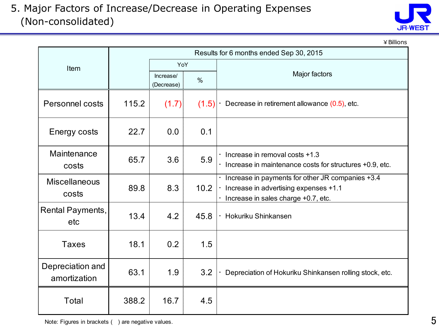5. Major Factors of Increase/Decrease in Operating Expenses (Non-consolidated)



¥Billions

|                                  |       |                                        | Results for 6 months ended Sep 30, 2015 |                                                                                                                                    |
|----------------------------------|-------|----------------------------------------|-----------------------------------------|------------------------------------------------------------------------------------------------------------------------------------|
| Item                             |       | YoY<br>Increase/<br>$\%$<br>(Decrease) |                                         |                                                                                                                                    |
|                                  |       |                                        |                                         | Major factors                                                                                                                      |
| Personnel costs                  | 115.2 | (1.7)                                  | (1.5)                                   | Decrease in retirement allowance (0.5), etc.                                                                                       |
| Energy costs                     | 22.7  | 0.0                                    | 0.1                                     |                                                                                                                                    |
| Maintenance<br>costs             | 65.7  | 3.6                                    | 5.9                                     | $\cdot$ Increase in removal costs +1.3<br>Increase in maintenance costs for structures +0.9, etc.                                  |
| <b>Miscellaneous</b><br>costs    | 89.8  | 8.3                                    | 10.2                                    | · Increase in payments for other JR companies +3.4<br>Increase in advertising expenses +1.1<br>Increase in sales charge +0.7, etc. |
| Rental Payments,<br>etc          | 13.4  | 4.2                                    | 45.8                                    | · Hokuriku Shinkansen                                                                                                              |
| <b>Taxes</b>                     | 18.1  | 0.2                                    | 1.5                                     |                                                                                                                                    |
| Depreciation and<br>amortization | 63.1  | 1.9                                    | 3.2                                     | Depreciation of Hokuriku Shinkansen rolling stock, etc.                                                                            |
| Total                            | 388.2 | 16.7                                   | 4.5                                     |                                                                                                                                    |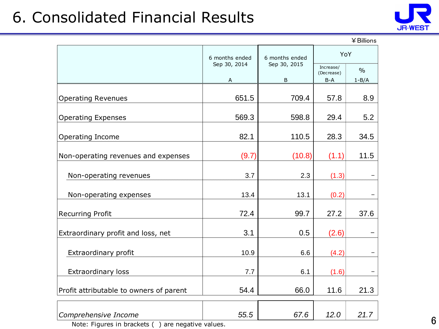## 6. Consolidated Financial Results



|                                         | 6 months ended    | 6 months ended    | YoY                            |                            |  |
|-----------------------------------------|-------------------|-------------------|--------------------------------|----------------------------|--|
|                                         | Sep 30, 2014<br>А | Sep 30, 2015<br>B | Increase/<br>(Decrease)<br>B-A | $\frac{0}{0}$<br>$1 - B/A$ |  |
|                                         |                   |                   |                                |                            |  |
| <b>Operating Revenues</b>               | 651.5             | 709.4             | 57.8                           | 8.9                        |  |
| <b>Operating Expenses</b>               | 569.3             | 598.8             | 29.4                           | 5.2                        |  |
| Operating Income                        | 82.1              | 110.5             | 28.3                           | 34.5                       |  |
| Non-operating revenues and expenses     | (9.7)             | (10.8)            | (1.1)                          | 11.5                       |  |
| Non-operating revenues                  | 3.7               | 2.3               | (1.3)                          |                            |  |
| Non-operating expenses                  | 13.4              | 13.1              | (0.2)                          |                            |  |
| <b>Recurring Profit</b>                 | 72.4              | 99.7              | 27.2                           | 37.6                       |  |
| Extraordinary profit and loss, net      | 3.1               | 0.5               | (2.6)                          |                            |  |
| Extraordinary profit                    | 10.9              | 6.6               | (4.2)                          |                            |  |
| <b>Extraordinary loss</b>               | 7.7               | 6.1               | (1.6)                          |                            |  |
| Profit attributable to owners of parent | 54.4              | 66.0              | 11.6                           | 21.3                       |  |
| Comprehensive Income                    | 55.5              | 67.6              | 12.0                           | 21.7                       |  |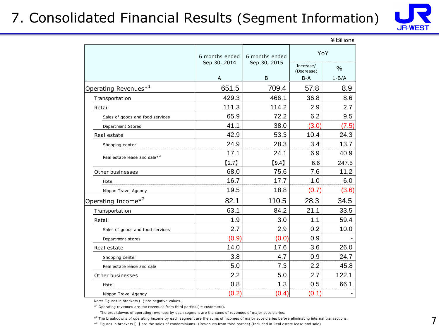## 7. Consolidated Financial Results (Segment Information)



 $\ddot{\bullet}$   $\ddot{\bullet}$   $\ddot{\bullet}$   $\ddot{\bullet}$ 

|                                          |                |                |                                                                        | 羊 Billions    |
|------------------------------------------|----------------|----------------|------------------------------------------------------------------------|---------------|
|                                          | 6 months ended | 6 months ended | YoY                                                                    |               |
|                                          | Sep 30, 2014   | Sep 30, 2015   | Increase/<br>(Decrease)                                                | $\frac{0}{0}$ |
|                                          | $\overline{A}$ | B              | B-A                                                                    | $1 - B/A$     |
| Operating Revenues $*^1$                 | 651.5          | 709.4          | 57.8                                                                   | 8.9           |
| Transportation                           | 429.3          | 466.1          | 36.8                                                                   | 8.6           |
| Retail                                   | 111.3          | 114.2          | 2.9                                                                    | 2.7           |
| Sales of goods and food services         | 65.9           | 72.2           | 6.2                                                                    | 9.5           |
| Department Stores                        | 41.1           | 38.0           | (3.0)                                                                  | (7.5)         |
| Real estate                              | 42.9           | 53.3           | 10.4                                                                   | 24.3          |
| Shopping center                          | 24.9           | 28.3           | 3.4                                                                    | 13.7          |
| Real estate lease and sale* <sup>3</sup> | 17.1           | 24.1           | 6.9                                                                    | 40.9          |
|                                          | [2.7]          | [9.4]          | 6.6<br>7.6<br>1.0<br>(0.7)<br>28.3<br>21.1<br>1.1<br>0.2<br>0.9<br>3.6 | 247.5         |
| Other businesses                         | 68.0           | 75.6           |                                                                        | 11.2          |
| Hotel                                    | 16.7           | 17.7           |                                                                        | 6.0           |
| Nippon Travel Agency                     | 19.5           | 18.8           |                                                                        | (3.6)         |
| Operating Income* <sup>2</sup>           | 82.1           | 110.5          |                                                                        | 34.5          |
| Transportation                           | 63.1           | 84.2           |                                                                        | 33.5          |
| Retail                                   | 1.9            | 3.0            |                                                                        | 59.4          |
| Sales of goods and food services         | 2.7            | 2.9            |                                                                        | 10.0          |
| Department stores                        | (0.9)          | (0.0)          |                                                                        |               |
| Real estate                              | 14.0           | 17.6           |                                                                        | 26.0          |
| Shopping center                          | 3.8            | 4.7            | 0.9                                                                    | 24.7          |
| Real estate lease and sale               | 5.0            | 7.3            | 2.2                                                                    | 45.8          |
| Other businesses                         | 2.2            | 5.0            | 2.7                                                                    | 122.1         |
| Hotel                                    | 0.8            | 1.3            | 0.5                                                                    | 66.1          |
| Nippon Travel Agency                     | (0.2)          | (0.4)          | (0.1)                                                                  |               |

Note: Figures in brackets ( ) are negative values.

 $*$ <sup>1</sup> Operating revenues are the revenues from third parties ( = customers).

The breakdowns of operating revenues by each segment are the sums of revenues of major subsidiaries.

\*<sup>2</sup> The breakdowns of operating income by each segment are the sums of incomes of major subsidiaries before eliminating internal transactions.

\*<sup>3</sup> Figures in brackets [ ] are the sales of condominiums. (Revenues from third parties) (Included in Real estate lease and sale)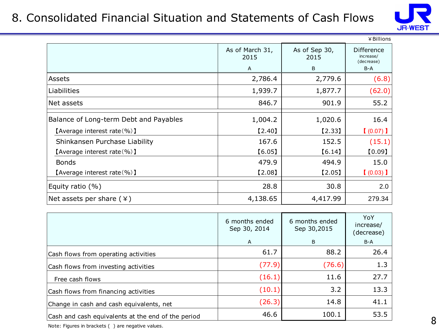#### 8. Consolidated Financial Situation and Statements of Cash Flows



|                                        |                         |                       | ¥ Billions                            |
|----------------------------------------|-------------------------|-----------------------|---------------------------------------|
|                                        | As of March 31,<br>2015 | As of Sep 30,<br>2015 | Difference<br>increase/<br>(decrease) |
|                                        | A                       | B                     | B-A                                   |
| Assets                                 | 2,786.4                 | 2,779.6               | (6.8)                                 |
| Liabilities                            | 1,939.7                 | 1,877.7               | (62.0)                                |
| Net assets                             | 846.7                   | 901.9                 | 55.2                                  |
| Balance of Long-term Debt and Payables | 1,004.2                 | 1,020.6               | 16.4                                  |
| [Average interest rate $(\% )$ ]       | [2.40]                  | [2.33]                | $(0.07)$ ]                            |
| Shinkansen Purchase Liability          | 167.6                   | 152.5                 | (15.1)                                |
| [Average interest rate $(\% )$ ]       | [6.05]                  | [6.14]                | [0.09]                                |
| <b>Bonds</b>                           | 479.9                   | 494.9                 | 15.0                                  |
| [Average interest rate $(\% )$ ]       | [2.08]                  | [2.05]                | $(0.03)$ ]                            |
| Equity ratio $(% )$                    | 28.8                    | 30.8                  | 2.0                                   |
| Net assets per share $(*)$             | 4,138.65                | 4,417.99              | 279.34                                |

|                                                    | 6 months ended<br>Sep 30, 2014 | 6 months ended<br>Sep 30,2015 | YoY<br>increase/<br>(decrease) |
|----------------------------------------------------|--------------------------------|-------------------------------|--------------------------------|
|                                                    | $\mathsf{A}$                   | B                             | B-A                            |
| Cash flows from operating activities               | 61.7                           | 88.2                          | 26.4                           |
| Cash flows from investing activities               | (77.9)                         | (76.6)                        | 1.3                            |
| Free cash flows                                    | (16.1)                         | 11.6                          | 27.7                           |
| Cash flows from financing activities               | (10.1)                         | 3.2                           | 13.3                           |
| Change in cash and cash equivalents, net           | (26.3)                         | 14.8                          | 41.1                           |
| Cash and cash equivalents at the end of the period | 46.6                           | 100.1                         | 53.5                           |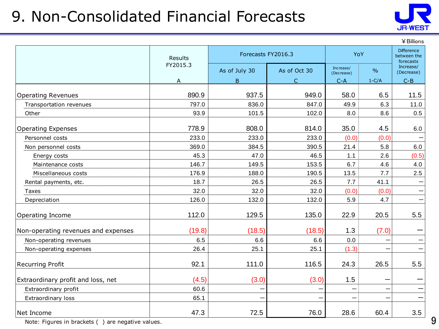## 9. Non-Consolidated Financial Forecasts



|                                     |          |                    |              |                         |         | ¥ Billions                                    |
|-------------------------------------|----------|--------------------|--------------|-------------------------|---------|-----------------------------------------------|
|                                     | Results  | Forecasts FY2016.3 |              |                         | YoY     | <b>Difference</b><br>between the<br>forecasts |
|                                     | FY2015.3 | As of July 30      | As of Oct 30 | Increase/<br>(Decrease) | $\%$    | Increase/<br>(Decrease)                       |
|                                     | A        | B                  | $\mathsf{C}$ | $C - A$                 | $1-C/A$ | $C - B$                                       |
| <b>Operating Revenues</b>           | 890.9    | 937.5              | 949.0        | 58.0                    | 6.5     | 11.5                                          |
| Transportation revenues             | 797.0    | 836.0              | 847.0        | 49.9                    | 6.3     | 11.0                                          |
| Other                               | 93.9     | 101.5              | 102.0        | 8.0                     | 8.6     | 0.5                                           |
| <b>Operating Expenses</b>           | 778.9    | 808.0              | 814.0        | 35.0                    | 4.5     | 6.0                                           |
| Personnel costs                     | 233.0    | 233.0              | 233.0        | (0.0)                   | (0.0)   |                                               |
| Non personnel costs                 | 369.0    | 384.5              | 390.5        | 21.4                    | 5.8     | 6.0                                           |
| Energy costs                        | 45.3     | 47.0               | 46.5         | 1.1                     | 2.6     | (0.5)                                         |
| Maintenance costs                   | 146.7    | 149.5              | 153.5        | 6.7                     | 4.6     | 4.0                                           |
| Miscellaneous costs                 | 176.9    | 188.0              | 190.5        | 13.5                    | 7.7     | 2.5                                           |
| Rental payments, etc.               | 18.7     | 26.5               | 26.5         | 7.7                     | 41.1    |                                               |
| <b>Taxes</b>                        | 32.0     | 32.0               | 32.0         | (0.0)                   | (0.0)   |                                               |
| Depreciation                        | 126.0    | 132.0              | 132.0        | 5.9                     | 4.7     |                                               |
| Operating Income                    | 112.0    | 129.5              | 135.0        | 22.9                    | 20.5    | 5.5                                           |
| Non-operating revenues and expenses | (19.8)   | (18.5)             | (18.5)       | 1.3                     | (7.0)   |                                               |
| Non-operating revenues              | 6.5      | 6.6                | 6.6          | 0.0                     |         |                                               |
| Non-operating expenses              | 26.4     | 25.1               | 25.1         | (1.3)                   |         |                                               |
| <b>Recurring Profit</b>             | 92.1     | 111.0              | 116.5        | 24.3                    | 26.5    | 5.5                                           |
| Extraordinary profit and loss, net  | (4.5)    | (3.0)              | (3.0)        | 1.5                     |         |                                               |
| Extraordinary profit                | 60.6     | -                  |              |                         |         |                                               |
| Extraordinary loss                  | 65.1     |                    |              |                         |         |                                               |
| Net Income                          | 47.3     | 72.5               | 76.0         | 28.6                    | 60.4    | 3.5                                           |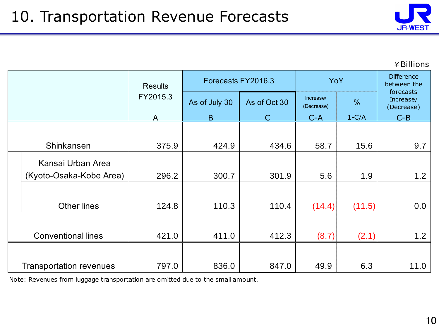

|                                | <b>Results</b> |               | Forecasts FY2016.3 | YoY                     | <b>Difference</b><br>between the<br>forecasts |                         |
|--------------------------------|----------------|---------------|--------------------|-------------------------|-----------------------------------------------|-------------------------|
|                                | FY2015.3       | As of July 30 | As of Oct 30       | Increase/<br>(Decrease) | %                                             | Increase/<br>(Decrease) |
|                                | A              | B             |                    | $C-A$                   | $1-C/A$                                       | $C - B$                 |
|                                |                |               |                    |                         |                                               |                         |
| Shinkansen                     | 375.9          | 424.9         | 434.6              | 58.7                    | 15.6                                          | 9.7                     |
| Kansai Urban Area              |                |               |                    |                         |                                               |                         |
| (Kyoto-Osaka-Kobe Area)        | 296.2          | 300.7         | 301.9              | 5.6                     | 1.9                                           | 1.2                     |
| <b>Other lines</b>             |                | 110.3         |                    |                         |                                               | 0.0                     |
|                                | 124.8          |               | 110.4              | (14.4)                  | (11.5)                                        |                         |
| <b>Conventional lines</b>      | 421.0          | 411.0         | 412.3              | (8.7)                   | (2.1)                                         | 1.2                     |
|                                | 797.0          | 836.0         | 847.0              | 49.9                    | 6.3                                           | 11.0                    |
| <b>Transportation revenues</b> |                |               |                    |                         |                                               |                         |

Note: Revenues from luggage transportation are omitted due to the small amount.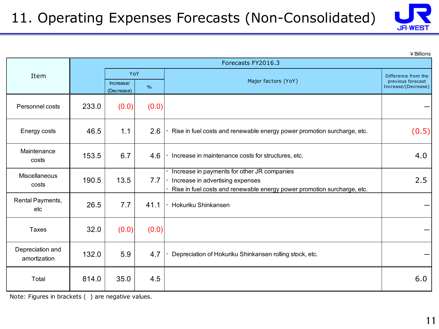

|                                  | Forecasts FY2016.3                       |       |                     |                                                                                                                                                            |                     |  |  |  |
|----------------------------------|------------------------------------------|-------|---------------------|------------------------------------------------------------------------------------------------------------------------------------------------------------|---------------------|--|--|--|
| Item                             |                                          | YoY   |                     |                                                                                                                                                            | Difference from the |  |  |  |
|                                  | Increase/<br>$\frac{0}{0}$<br>(Decrease) |       | Major factors (YoY) | previous forecast<br>Increase/(Decrease)                                                                                                                   |                     |  |  |  |
| Personnel costs                  | 233.0                                    | (0.0) | (0.0)               |                                                                                                                                                            |                     |  |  |  |
| Energy costs                     | 46.5                                     | 1.1   | 2.6                 | Rise in fuel costs and renewable energy power promotion surcharge, etc.                                                                                    | (0.5)               |  |  |  |
| Maintenance<br>costs             | 153.5                                    | 6.7   | 4.6                 | Increase in maintenance costs for structures, etc.                                                                                                         | 4.0                 |  |  |  |
| <b>Miscellaneous</b><br>costs    | 190.5                                    | 13.5  | 7.7                 | Increase in payments for other JR companies<br>Increase in advertising expenses<br>Rise in fuel costs and renewable energy power promotion surcharge, etc. | 2.5                 |  |  |  |
| Rental Payments,<br>etc          | 26.5                                     | 7.7   | 41.1                | Hokuriku Shinkansen                                                                                                                                        |                     |  |  |  |
| Taxes                            | 32.0                                     | (0.0) | (0.0)               |                                                                                                                                                            |                     |  |  |  |
| Depreciation and<br>amortization | 132.0                                    | 5.9   | 4.7                 | Depreciation of Hokuriku Shinkansen rolling stock, etc.                                                                                                    |                     |  |  |  |
| Total                            | 814.0                                    | 35.0  | 4.5                 |                                                                                                                                                            | 6.0                 |  |  |  |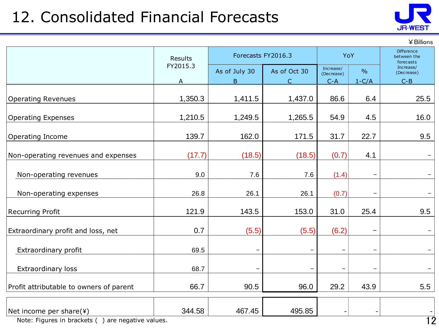## 12. Consolidated Financial Forecasts



¥Billions

|                                         | <b>Results</b> | Forecasts FY2016.3  | YoY                       |                         | Difference<br>between the<br>forecasts |                                    |
|-----------------------------------------|----------------|---------------------|---------------------------|-------------------------|----------------------------------------|------------------------------------|
|                                         | FY2015.3<br>A  | As of July 30<br>B. | As of Oct 30<br>$\subset$ | Increase/<br>(Decrease) | $\frac{0}{0}$<br>$1-C/A$               | Increase/<br>(Decrease)<br>$C - B$ |
|                                         |                |                     |                           | $C-A$                   |                                        |                                    |
| <b>Operating Revenues</b>               | 1,350.3        | 1,411.5             | 1,437.0                   | 86.6                    | 6.4                                    | 25.5                               |
| <b>Operating Expenses</b>               | 1,210.5        | 1,249.5             | 1,265.5                   | 54.9                    | 4.5                                    | 16.0                               |
| Operating Income                        | 139.7          | 162.0               | 171.5                     | 31.7                    | 22.7                                   | 9.5                                |
|                                         |                |                     |                           |                         |                                        |                                    |
| Non-operating revenues and expenses     | (17.7)         | (18.5)              | (18.5)                    | (0.7)                   | 4.1                                    |                                    |
|                                         |                |                     |                           |                         |                                        |                                    |
| Non-operating revenues                  | 9.0            | 7.6                 | 7.6                       | (1.4)                   | $\qquad \qquad -$                      | $\qquad \qquad -$                  |
| Non-operating expenses                  | 26.8           | 26.1                | 26.1                      | (0.7)                   | $\overline{\phantom{m}}$               | $\qquad \qquad -$                  |
| <b>Recurring Profit</b>                 | 121.9          | 143.5               | 153.0                     | 31.0                    | 25.4                                   | 9.5                                |
|                                         |                |                     |                           |                         |                                        |                                    |
| Extraordinary profit and loss, net      | 0.7            | (5.5)               | (5.5)                     | (6.2)                   | $\qquad \qquad -$                      |                                    |
| Extraordinary profit                    | 69.5           |                     |                           | $\qquad \qquad -$       | $\qquad \qquad -$                      |                                    |
| <b>Extraordinary loss</b>               | 68.7           |                     |                           |                         | $\qquad \qquad -$                      |                                    |
|                                         |                |                     |                           |                         |                                        |                                    |
| Profit attributable to owners of parent | 66.7           | 90.5                | 96.0                      | 29.2                    | 43.9                                   | 5.5                                |
|                                         |                |                     |                           |                         |                                        |                                    |
| Net income per share(¥)                 | 344.58         | 467.45              | 495.85                    |                         |                                        | $\overline{\phantom{a}}$           |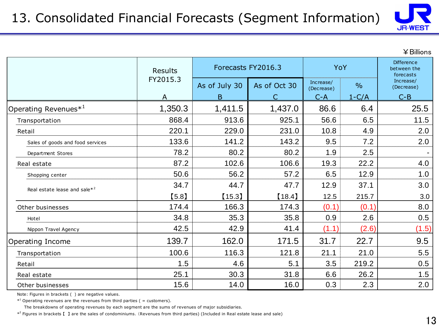

|                                          | <b>Results</b> | Forecasts FY2016.3 | YoY          |                         | <b>Difference</b><br>between the<br>forecasts |                         |  |
|------------------------------------------|----------------|--------------------|--------------|-------------------------|-----------------------------------------------|-------------------------|--|
|                                          | FY2015.3       | As of July 30      | As of Oct 30 | Increase/<br>(Decrease) | $\frac{0}{0}$                                 | Increase/<br>(Decrease) |  |
|                                          | A              | B                  |              | $C-A$                   | $1-C/A$                                       | $C - B$                 |  |
| Operating Revenues $*^1$                 | 1,350.3        | 1,411.5            | 1,437.0      | 86.6                    | 6.4                                           | 25.5                    |  |
| Transportation                           | 868.4          | 913.6              | 925.1        | 56.6                    | 6.5                                           | 11.5                    |  |
| Retail                                   | 220.1          | 229.0              | 231.0        | 10.8                    | 4.9                                           | 2.0                     |  |
| Sales of goods and food services         | 133.6          | 141.2              | 143.2        | 9.5                     | 7.2                                           | 2.0                     |  |
| Department Stores                        | 78.2           | 80.2               | 80.2         | 1.9                     | 2.5                                           |                         |  |
| Real estate                              | 87.2           | 102.6              | 106.6        | 19.3                    | 22.2                                          | 4.0                     |  |
| Shopping center                          | 50.6           | 56.2               | 57.2         | 6.5                     | 12.9                                          | 1.0                     |  |
| Real estate lease and sale* <sup>2</sup> | 34.7           | 44.7               | 47.7         | 12.9                    | 37.1                                          | 3.0                     |  |
|                                          | [5.8]          | $[15.3]$           | [18.4]       | 12.5                    | 215.7                                         | 3.0                     |  |
| Other businesses                         | 174.4          | 166.3              | 174.3        | (0.1)                   | (0.1)                                         | 8.0                     |  |
| Hotel                                    | 34.8           | 35.3               | 35.8         | 0.9                     | 2.6                                           | 0.5                     |  |
| Nippon Travel Agency                     | 42.5           | 42.9               | 41.4         | (1.1)                   | (2.6)                                         | (1.5)                   |  |
| Operating Income                         | 139.7          | 162.0              | 171.5        | 31.7                    | 22.7                                          | 9.5                     |  |
| Transportation                           | 100.6          | 116.3              | 121.8        | 21.1                    | 21.0                                          | 5.5                     |  |
| Retail                                   | 1.5            | 4.6                | 5.1          | 3.5                     | 219.2                                         | 0.5                     |  |
| Real estate                              | 25.1           | 30.3               | 31.8         | 6.6                     | 26.2                                          | 1.5                     |  |
| Other businesses                         | 15.6           | 14.0               | 16.0         | 0.3                     | 2.3                                           | 2.0                     |  |

Note: Figures in brackets ( ) are negative values.

 $*$ <sup>1</sup> Operating revenues are the revenues from third parties ( = customers).

The breakdowns of operating revenues by each segment are the sums of revenues of major subsidiaries.

\*<sup>2</sup> Figures in brackets [ ] are the sales of condominiums. (Revenues from third parties) (Included in Real estate lease and sale)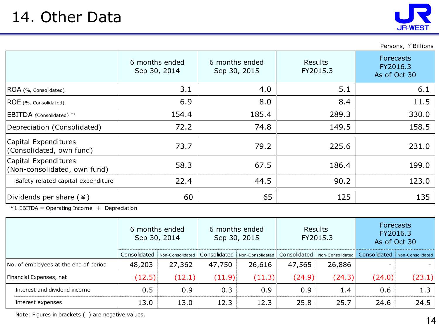

Persons, ¥Billions

|                                                      | 6 months ended<br>Sep 30, 2014 | 6 months ended<br>Sep 30, 2015 | Results<br>FY2015.3 | <b>Forecasts</b><br>FY2016.3<br>As of Oct 30 |
|------------------------------------------------------|--------------------------------|--------------------------------|---------------------|----------------------------------------------|
| ROA (%, Consolidated)                                | 3.1                            | 4.0                            | 5.1                 | 6.1                                          |
| ROE (%, Consolidated)                                | 6.9                            | 8.0                            | 8.4                 | 11.5                                         |
| EBITDA (Consolidated) <sup>*1</sup>                  | 154.4                          | 185.4                          | 289.3               | 330.0                                        |
| Depreciation (Consolidated)                          | 72.2                           | 74.8                           | 149.5               | 158.5                                        |
| Capital Expenditures<br>(Consolidated, own fund)     | 73.7                           | 79.2                           | 225.6               | 231.0                                        |
| Capital Expenditures<br>(Non-consolidated, own fund) | 58.3                           | 67.5                           | 186.4               | 199.0                                        |
| Safety related capital expenditure                   | 22.4                           | 44.5                           | 90.2                | 123.0                                        |
| Dividends per share $(*)$                            | 60                             | 65                             | 125                 | 135                                          |

 $*1$  EBITDA = Operating Income + Depreciation

|                                       | 6 months ended<br>Sep 30, 2014 |                  | 6 months ended<br>Sep 30, 2015 |                  | <b>Results</b><br>FY2015.3 |                  | <b>Forecasts</b><br>FY2016.3<br>As of Oct 30 |                  |
|---------------------------------------|--------------------------------|------------------|--------------------------------|------------------|----------------------------|------------------|----------------------------------------------|------------------|
|                                       | Consolidated                   | Non-Consolidated | Consolidated                   | Non-Consolidated | Consolidated               | Non-Consolidated | Consolidated                                 | Non-Consolidated |
| No. of employees at the end of period | 48,203                         | 27,362           | 47,750                         | 26,616           | 47,565                     | 26,886           |                                              |                  |
| Financial Expenses, net               | (12.5)                         | (12.1)           | (11.9)                         | (11.3)           | (24.9)                     | (24.3)           | (24.0)                                       | (23.1)           |
| Interest and dividend income          | 0.5                            | 0.9              | 0.3                            | 0.9              | 0.9                        | 1.4              | 0.6                                          | 1.3              |
| Interest expenses                     | 13.0                           | 13.0             | 12.3                           | 12.3             | 25.8                       | 25.7             | 24.6                                         | 24.5             |